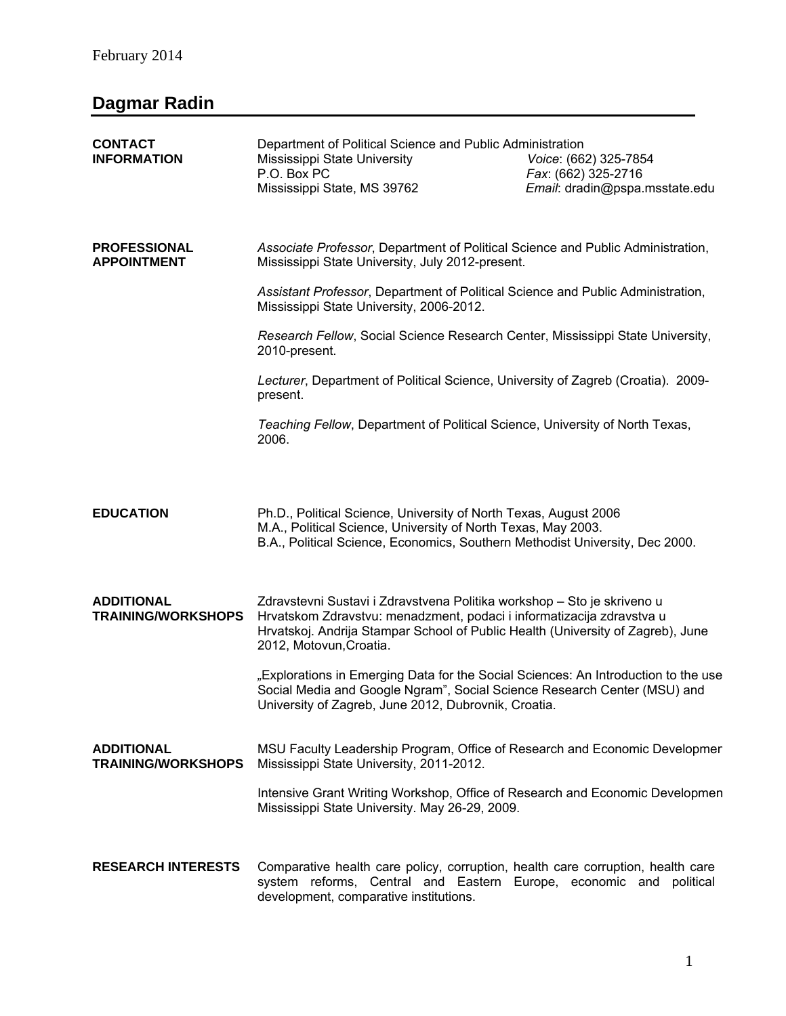## **Dagmar Radin**

| <b>CONTACT</b><br><b>INFORMATION</b>           | Department of Political Science and Public Administration<br>Mississippi State University<br>P.O. Box PC<br>Mississippi State, MS 39762                                                                                                                        | Voice: (662) 325-7854<br>Fax: (662) 325-2716<br>Email: dradin@pspa.msstate.edu |
|------------------------------------------------|----------------------------------------------------------------------------------------------------------------------------------------------------------------------------------------------------------------------------------------------------------------|--------------------------------------------------------------------------------|
| <b>PROFESSIONAL</b><br><b>APPOINTMENT</b>      | Associate Professor, Department of Political Science and Public Administration,<br>Mississippi State University, July 2012-present.                                                                                                                            |                                                                                |
|                                                | Assistant Professor, Department of Political Science and Public Administration,<br>Mississippi State University, 2006-2012.                                                                                                                                    |                                                                                |
|                                                | Research Fellow, Social Science Research Center, Mississippi State University,<br>2010-present.                                                                                                                                                                |                                                                                |
|                                                | Lecturer, Department of Political Science, University of Zagreb (Croatia). 2009-<br>present.                                                                                                                                                                   |                                                                                |
|                                                | Teaching Fellow, Department of Political Science, University of North Texas,<br>2006.                                                                                                                                                                          |                                                                                |
|                                                |                                                                                                                                                                                                                                                                |                                                                                |
| <b>EDUCATION</b>                               | Ph.D., Political Science, University of North Texas, August 2006<br>M.A., Political Science, University of North Texas, May 2003.<br>B.A., Political Science, Economics, Southern Methodist University, Dec 2000.                                              |                                                                                |
| <b>ADDITIONAL</b><br><b>TRAINING/WORKSHOPS</b> | Zdravstevni Sustavi i Zdravstvena Politika workshop - Sto je skriveno u<br>Hrvatskom Zdravstvu: menadzment, podaci i informatizacija zdravstva u<br>Hrvatskoj. Andrija Stampar School of Public Health (University of Zagreb), June<br>2012, Motovun, Croatia. |                                                                                |
|                                                | "Explorations in Emerging Data for the Social Sciences: An Introduction to the use<br>Social Media and Google Ngram", Social Science Research Center (MSU) and<br>University of Zagreb, June 2012, Dubrovnik, Croatia.                                         |                                                                                |
| <b>ADDITIONAL</b><br><b>TRAINING/WORKSHOPS</b> | MSU Faculty Leadership Program, Office of Research and Economic Developmer<br>Mississippi State University, 2011-2012.                                                                                                                                         |                                                                                |
|                                                | Intensive Grant Writing Workshop, Office of Research and Economic Developmen<br>Mississippi State University. May 26-29, 2009.                                                                                                                                 |                                                                                |
| <b>RESEARCH INTERESTS</b>                      | Comparative health care policy, corruption, health care corruption, health care<br>system reforms, Central and Eastern Europe, economic and political<br>development, comparative institutions.                                                                |                                                                                |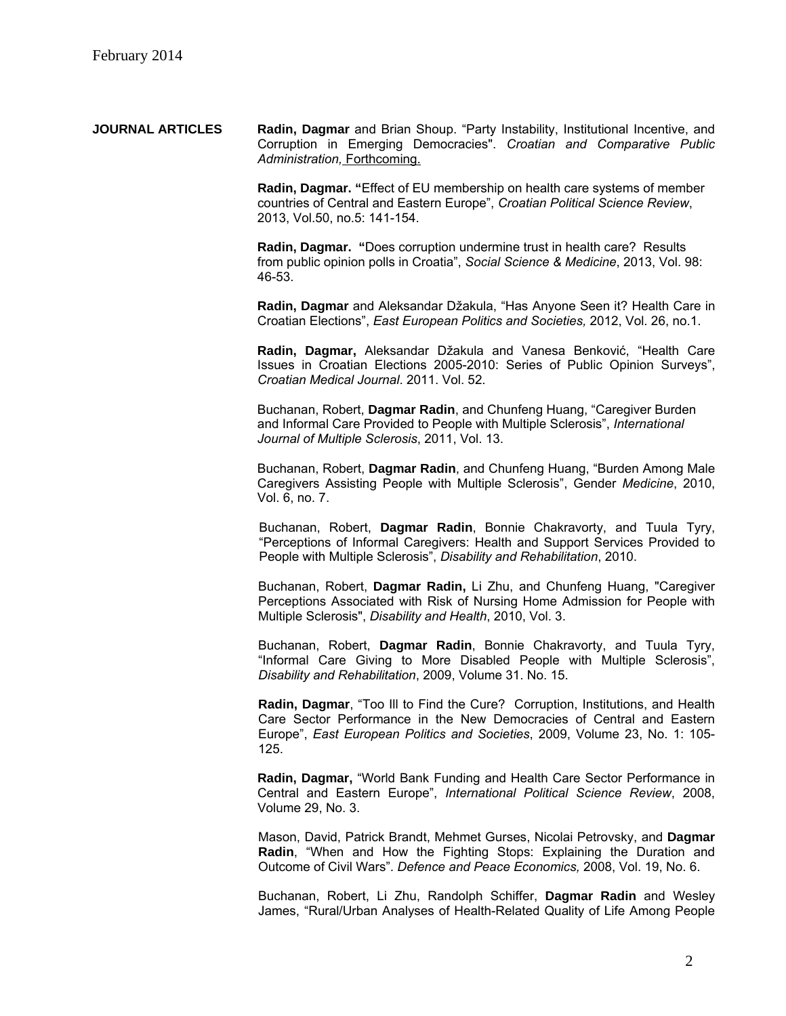**JOURNAL ARTICLES Radin, Dagmar** and Brian Shoup. "Party Instability, Institutional Incentive, and Corruption in Emerging Democracies". *Croatian and Comparative Public Administration,* Forthcoming.

> **Radin, Dagmar. "**Effect of EU membership on health care systems of member countries of Central and Eastern Europe", *Croatian Political Science Review*, 2013, Vol.50, no.5: 141-154.

> **Radin, Dagmar. "**Does corruption undermine trust in health care? Results from public opinion polls in Croatia", *Social Science & Medicine*, 2013, Vol. 98: 46-53.

**Radin, Dagmar** and Aleksandar Džakula, "Has Anyone Seen it? Health Care in Croatian Elections", *East European Politics and Societies,* 2012, Vol. 26, no.1.

**Radin, Dagmar,** Aleksandar Džakula and Vanesa Benković, "Health Care Issues in Croatian Elections 2005-2010: Series of Public Opinion Surveys", *Croatian Medical Journal*. 2011. Vol. 52.

Buchanan, Robert, **Dagmar Radin**, and Chunfeng Huang, "Caregiver Burden and Informal Care Provided to People with Multiple Sclerosis", *International Journal of Multiple Sclerosis*, 2011, Vol. 13.

Buchanan, Robert, **Dagmar Radin**, and Chunfeng Huang, "Burden Among Male Caregivers Assisting People with Multiple Sclerosis", Gender *Medicine*, 2010, Vol. 6, no. 7.

Buchanan, Robert, **Dagmar Radin**, Bonnie Chakravorty, and Tuula Tyry, "Perceptions of Informal Caregivers: Health and Support Services Provided to People with Multiple Sclerosis", *Disability and Rehabilitation*, 2010.

Buchanan, Robert, **Dagmar Radin,** Li Zhu, and Chunfeng Huang, "Caregiver Perceptions Associated with Risk of Nursing Home Admission for People with Multiple Sclerosis", *Disability and Health*, 2010, Vol. 3.

Buchanan, Robert, **Dagmar Radin**, Bonnie Chakravorty, and Tuula Tyry, "Informal Care Giving to More Disabled People with Multiple Sclerosis", *Disability and Rehabilitation*, 2009, Volume 31. No. 15.

**Radin, Dagmar**, "Too Ill to Find the Cure? Corruption, Institutions, and Health Care Sector Performance in the New Democracies of Central and Eastern Europe", *East European Politics and Societies*, 2009, Volume 23, No. 1: 105- 125.

**Radin, Dagmar,** "World Bank Funding and Health Care Sector Performance in Central and Eastern Europe", *International Political Science Review*, 2008, Volume 29, No. 3.

Mason, David, Patrick Brandt, Mehmet Gurses, Nicolai Petrovsky, and **Dagmar Radin**, "When and How the Fighting Stops: Explaining the Duration and Outcome of Civil Wars". *Defence and Peace Economics,* 2008, Vol. 19, No. 6.

Buchanan, Robert, Li Zhu, Randolph Schiffer, **Dagmar Radin** and Wesley James, "Rural/Urban Analyses of Health-Related Quality of Life Among People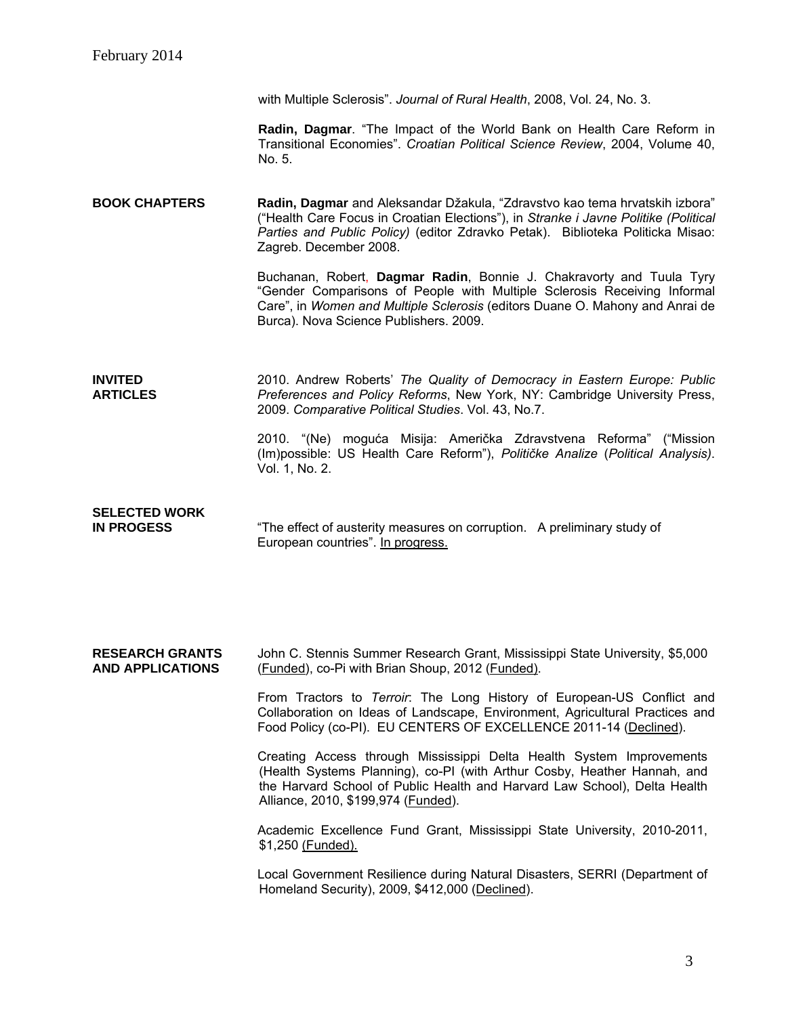with Multiple Sclerosis". *Journal of Rural Health*, 2008, Vol. 24, No. 3.

**Radin, Dagmar**. "The Impact of the World Bank on Health Care Reform in Transitional Economies". *Croatian Political Science Review*, 2004, Volume 40, No. 5.

**BOOK CHAPTERS Radin, Dagmar** and Aleksandar Džakula, "Zdravstvo kao tema hrvatskih izbora" ("Health Care Focus in Croatian Elections"), in *Stranke i Javne Politike (Political Parties and Public Policy)* (editor Zdravko Petak). Biblioteka Politicka Misao: Zagreb. December 2008.

> Buchanan, Robert, **Dagmar Radin**, Bonnie J. Chakravorty and Tuula Tyry "Gender Comparisons of People with Multiple Sclerosis Receiving Informal Care", in *Women and Multiple Sclerosis* (editors Duane O. Mahony and Anrai de Burca). Nova Science Publishers. 2009.

**INVITED ARTICLES**  2010. Andrew Roberts' *The Quality of Democracy in Eastern Europe: Public Preferences and Policy Reforms*, New York, NY: Cambridge University Press, 2009. *Comparative Political Studies*. Vol. 43, No.7.

> 2010. "(Ne) moguća Misija: Američka Zdravstvena Reforma" ("Mission (Im)possible: US Health Care Reform"), *Političke Analize* (*Political Analysis)*. Vol. 1, No. 2.

## **SELECTED WORK**

**IN PROGESS** "The effect of austerity measures on corruption. A preliminary study of European countries". In progress.

**RESEARCH GRANTS AND APPLICATIONS**  John C. Stennis Summer Research Grant, Mississippi State University, \$5,000 (Funded), co-Pi with Brian Shoup, 2012 (Funded).

> From Tractors to *Terroir*: The Long History of European-US Conflict and Collaboration on Ideas of Landscape, Environment, Agricultural Practices and Food Policy (co-PI). EU CENTERS OF EXCELLENCE 2011-14 (Declined).

Creating Access through Mississippi Delta Health System Improvements (Health Systems Planning), co-PI (with Arthur Cosby, Heather Hannah, and the Harvard School of Public Health and Harvard Law School), Delta Health Alliance, 2010, \$199,974 (Funded).

Academic Excellence Fund Grant, Mississippi State University, 2010-2011, \$1,250 (Funded).

Local Government Resilience during Natural Disasters, SERRI (Department of Homeland Security), 2009, \$412,000 (Declined).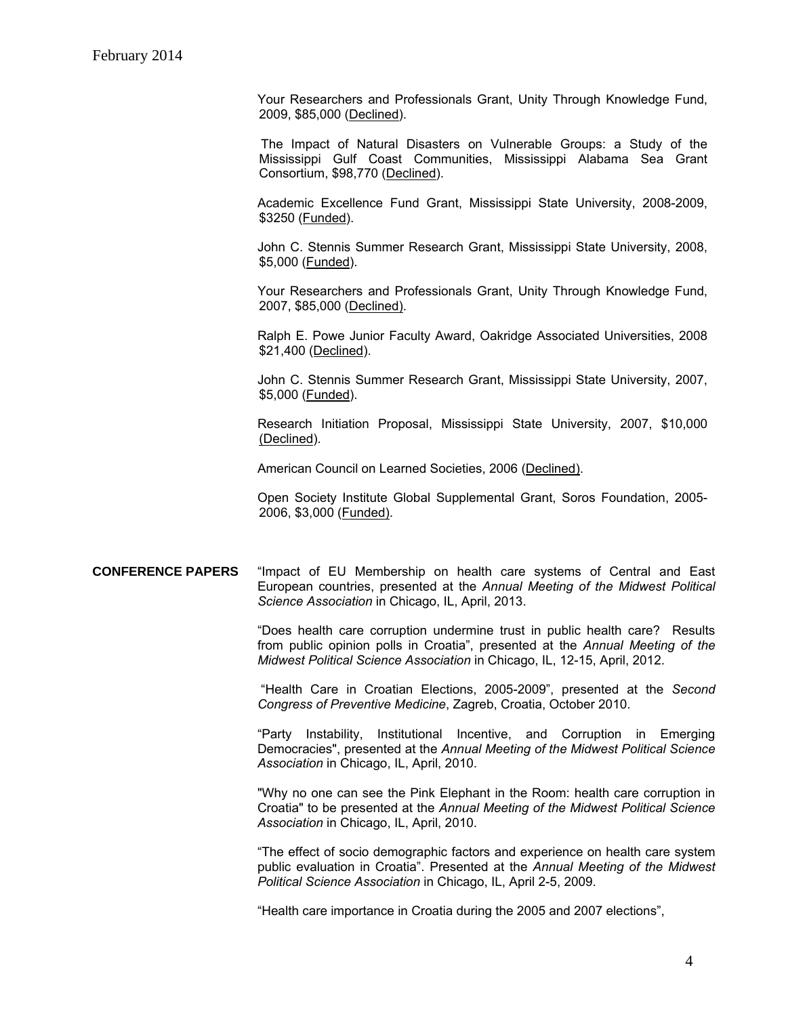Your Researchers and Professionals Grant, Unity Through Knowledge Fund, 2009, \$85,000 (Declined).

 The Impact of Natural Disasters on Vulnerable Groups: a Study of the Mississippi Gulf Coast Communities, Mississippi Alabama Sea Grant Consortium, \$98,770 (Declined).

Academic Excellence Fund Grant, Mississippi State University, 2008-2009, \$3250 (Funded).

John C. Stennis Summer Research Grant, Mississippi State University, 2008, \$5,000 (Funded).

Your Researchers and Professionals Grant, Unity Through Knowledge Fund, 2007, \$85,000 (Declined).

Ralph E. Powe Junior Faculty Award, Oakridge Associated Universities, 2008 \$21,400 (Declined).

John C. Stennis Summer Research Grant, Mississippi State University, 2007, \$5,000 (Funded).

Research Initiation Proposal, Mississippi State University, 2007, \$10,000 (Declined).

American Council on Learned Societies, 2006 (Declined).

Open Society Institute Global Supplemental Grant, Soros Foundation, 2005- 2006, \$3,000 (Funded).

## **CONFERENCE PAPERS** "Impact of EU Membership on health care systems of Central and East European countries, presented at the *Annual Meeting of the Midwest Political Science Association* in Chicago, IL, April, 2013.

"Does health care corruption undermine trust in public health care? Results from public opinion polls in Croatia", presented at the *Annual Meeting of the Midwest Political Science Association* in Chicago, IL, 12-15, April, 2012.

 "Health Care in Croatian Elections, 2005-2009", presented at the *Second Congress of Preventive Medicine*, Zagreb, Croatia, October 2010.

"Party Instability, Institutional Incentive, and Corruption in Emerging Democracies", presented at the *Annual Meeting of the Midwest Political Science Association* in Chicago, IL, April, 2010.

"Why no one can see the Pink Elephant in the Room: health care corruption in Croatia" to be presented at the *Annual Meeting of the Midwest Political Science Association* in Chicago, IL, April, 2010.

"The effect of socio demographic factors and experience on health care system public evaluation in Croatia". Presented at the *Annual Meeting of the Midwest Political Science Association* in Chicago, IL, April 2-5, 2009.

"Health care importance in Croatia during the 2005 and 2007 elections",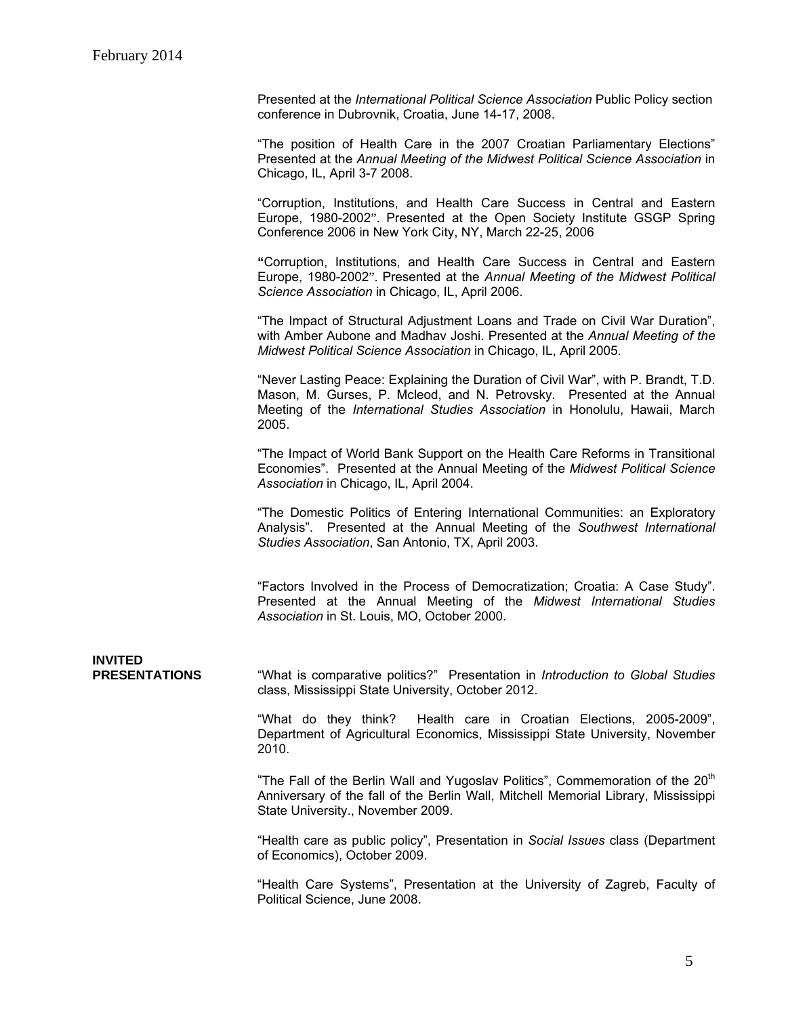Presented at the *International Political Science Association* Public Policy section conference in Dubrovnik, Croatia, June 14-17, 2008.

"The position of Health Care in the 2007 Croatian Parliamentary Elections" Presented at the *Annual Meeting of the Midwest Political Science Association* in Chicago, IL, April 3-7 2008.

"Corruption, Institutions, and Health Care Success in Central and Eastern Europe, 1980-2002". Presented at the Open Society Institute GSGP Spring Conference 2006 in New York City, NY, March 22-25, 2006

**"**Corruption, Institutions, and Health Care Success in Central and Eastern Europe, 1980-2002". Presented at the *Annual Meeting of the Midwest Political Science Association* in Chicago, IL, April 2006.

"The Impact of Structural Adjustment Loans and Trade on Civil War Duration", with Amber Aubone and Madhav Joshi. Presented at the *Annual Meeting of the Midwest Political Science Association* in Chicago, IL, April 2005.

"Never Lasting Peace: Explaining the Duration of Civil War", with P. Brandt, T.D. Mason, M. Gurses, P. Mcleod, and N. Petrovsky. Presented at th*e* Annual Meeting of the *International Studies Association* in Honolulu, Hawaii, March 2005.

"The Impact of World Bank Support on the Health Care Reforms in Transitional Economies". Presented at the Annual Meeting of the *Midwest Political Science Association* in Chicago, IL, April 2004.

"The Domestic Politics of Entering International Communities: an Exploratory Analysis". Presented at the Annual Meeting of the *Southwest International Studies Association*, San Antonio, TX, April 2003.

"Factors Involved in the Process of Democratization; Croatia: A Case Study". Presented at the Annual Meeting of the *Midwest International Studies Association* in St. Louis, MO, October 2000.

**INVITED PRESENTATIONS** "What is comparative politics?" Presentation in *Introduction to Global Studies*  class, Mississippi State University, October 2012.

> "What do they think? Health care in Croatian Elections, 2005-2009", Department of Agricultural Economics, Mississippi State University, November 2010.

> "The Fall of the Berlin Wall and Yugoslav Politics", Commemoration of the 20<sup>th</sup> Anniversary of the fall of the Berlin Wall, Mitchell Memorial Library, Mississippi State University., November 2009.

> "Health care as public policy", Presentation in *Social Issues* class (Department of Economics), October 2009.

> "Health Care Systems", Presentation at the University of Zagreb, Faculty of Political Science, June 2008.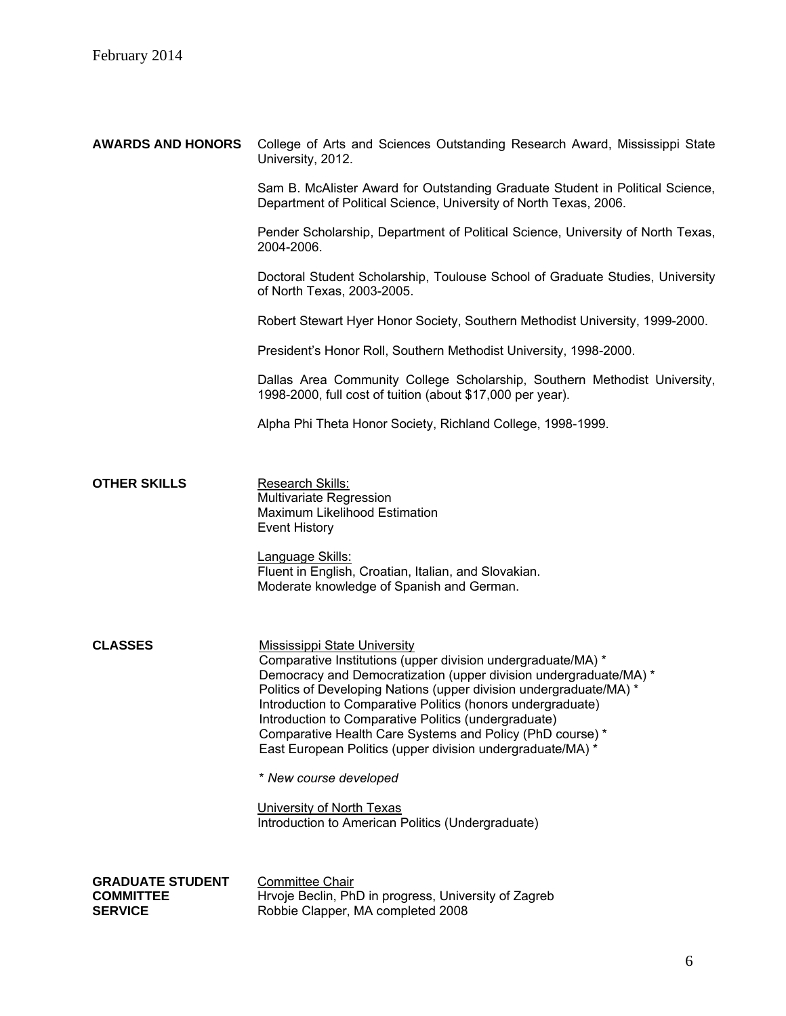| College of Arts and Sciences Outstanding Research Award, Mississippi State<br>University, 2012.                                                                                                                                                                                                                                                                                                                                                                                                  |  |
|--------------------------------------------------------------------------------------------------------------------------------------------------------------------------------------------------------------------------------------------------------------------------------------------------------------------------------------------------------------------------------------------------------------------------------------------------------------------------------------------------|--|
| Sam B. McAlister Award for Outstanding Graduate Student in Political Science,<br>Department of Political Science, University of North Texas, 2006.                                                                                                                                                                                                                                                                                                                                               |  |
| Pender Scholarship, Department of Political Science, University of North Texas,<br>2004-2006.                                                                                                                                                                                                                                                                                                                                                                                                    |  |
| Doctoral Student Scholarship, Toulouse School of Graduate Studies, University<br>of North Texas, 2003-2005.                                                                                                                                                                                                                                                                                                                                                                                      |  |
| Robert Stewart Hyer Honor Society, Southern Methodist University, 1999-2000.                                                                                                                                                                                                                                                                                                                                                                                                                     |  |
| President's Honor Roll, Southern Methodist University, 1998-2000.                                                                                                                                                                                                                                                                                                                                                                                                                                |  |
| Dallas Area Community College Scholarship, Southern Methodist University,<br>1998-2000, full cost of tuition (about \$17,000 per year).                                                                                                                                                                                                                                                                                                                                                          |  |
| Alpha Phi Theta Honor Society, Richland College, 1998-1999.                                                                                                                                                                                                                                                                                                                                                                                                                                      |  |
|                                                                                                                                                                                                                                                                                                                                                                                                                                                                                                  |  |
| <b>Research Skills:</b><br>Multivariate Regression<br>Maximum Likelihood Estimation<br><b>Event History</b>                                                                                                                                                                                                                                                                                                                                                                                      |  |
| Language Skills:<br>Fluent in English, Croatian, Italian, and Slovakian.<br>Moderate knowledge of Spanish and German.                                                                                                                                                                                                                                                                                                                                                                            |  |
| <b>Mississippi State University</b><br>Comparative Institutions (upper division undergraduate/MA) *<br>Democracy and Democratization (upper division undergraduate/MA) *<br>Politics of Developing Nations (upper division undergraduate/MA) *<br>Introduction to Comparative Politics (honors undergraduate)<br>Introduction to Comparative Politics (undergraduate)<br>Comparative Health Care Systems and Policy (PhD course) *<br>East European Politics (upper division undergraduate/MA) * |  |
| * New course developed                                                                                                                                                                                                                                                                                                                                                                                                                                                                           |  |
| University of North Texas<br>Introduction to American Politics (Undergraduate)                                                                                                                                                                                                                                                                                                                                                                                                                   |  |
|                                                                                                                                                                                                                                                                                                                                                                                                                                                                                                  |  |
| <b>Committee Chair</b><br>Hrvoje Beclin, PhD in progress, University of Zagreb<br>Robbie Clapper, MA completed 2008                                                                                                                                                                                                                                                                                                                                                                              |  |
|                                                                                                                                                                                                                                                                                                                                                                                                                                                                                                  |  |